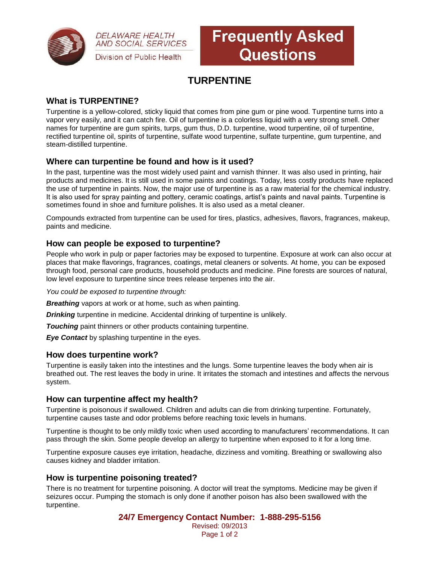

**DELAWARE HEALTH AND SOCIAL SERVICES** Division of Public Health

# **Frequently Asked Questions**

# **TURPENTINE**

## **What is TURPENTINE?**

Turpentine is a yellow-colored, sticky liquid that comes from pine gum or pine wood. Turpentine turns into a vapor very easily, and it can catch fire. Oil of turpentine is a colorless liquid with a very strong smell. Other names for turpentine are gum spirits, turps, gum thus, D.D. turpentine, wood turpentine, oil of turpentine, rectified turpentine oil, spirits of turpentine, sulfate wood turpentine, sulfate turpentine, gum turpentine, and steam-distilled turpentine.

### **Where can turpentine be found and how is it used?**

In the past, turpentine was the most widely used paint and varnish thinner. It was also used in printing, hair products and medicines. It is still used in some paints and coatings. Today, less costly products have replaced the use of turpentine in paints. Now, the major use of turpentine is as a raw material for the chemical industry. It is also used for spray painting and pottery, ceramic coatings, artist's paints and naval paints. Turpentine is sometimes found in shoe and furniture polishes. It is also used as a metal cleaner.

Compounds extracted from turpentine can be used for tires, plastics, adhesives, flavors, fragrances, makeup, paints and medicine.

### **How can people be exposed to turpentine?**

People who work in pulp or paper factories may be exposed to turpentine. Exposure at work can also occur at places that make flavorings, fragrances, coatings, metal cleaners or solvents. At home, you can be exposed through food, personal care products, household products and medicine. Pine forests are sources of natural, low level exposure to turpentine since trees release terpenes into the air.

*You could be exposed to turpentine through:*

*Breathing* vapors at work or at home, such as when painting.

*Drinking* turpentine in medicine. Accidental drinking of turpentine is unlikely.

**Touching** paint thinners or other products containing turpentine.

**Eye Contact** by splashing turpentine in the eyes.

#### **How does turpentine work?**

Turpentine is easily taken into the intestines and the lungs. Some turpentine leaves the body when air is breathed out. The rest leaves the body in urine. It irritates the stomach and intestines and affects the nervous system.

#### **How can turpentine affect my health?**

Turpentine is poisonous if swallowed. Children and adults can die from drinking turpentine. Fortunately, turpentine causes taste and odor problems before reaching toxic levels in humans.

Turpentine is thought to be only mildly toxic when used according to manufacturers' recommendations. It can pass through the skin. Some people develop an allergy to turpentine when exposed to it for a long time.

Turpentine exposure causes eye irritation, headache, dizziness and vomiting. Breathing or swallowing also causes kidney and bladder irritation.

### **How is turpentine poisoning treated?**

There is no treatment for turpentine poisoning. A doctor will treat the symptoms. Medicine may be given if seizures occur. Pumping the stomach is only done if another poison has also been swallowed with the turpentine.

> **24/7 Emergency Contact Number: 1-888-295-5156** Revised: 09/2013 Page 1 of 2